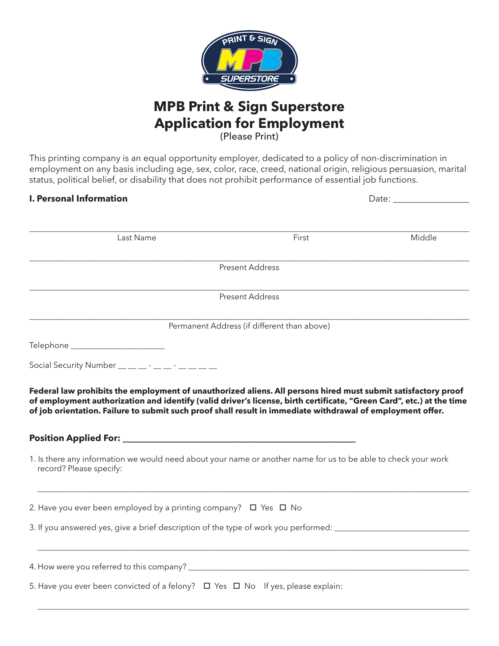

# **MPB Print & Sign Superstore Application for Employment** (Please Print)

This printing company is an equal opportunity employer, dedicated to a policy of non-discrimination in employment on any basis including age, sex, color, race, creed, national origin, religious persuasion, marital status, political belief, or disability that does not prohibit performance of essential job functions.

# **I. Personal Information** Date:

| Last Name                                                                                                                                                                                                                                                                                                                                           | First                                       | Middle |
|-----------------------------------------------------------------------------------------------------------------------------------------------------------------------------------------------------------------------------------------------------------------------------------------------------------------------------------------------------|---------------------------------------------|--------|
|                                                                                                                                                                                                                                                                                                                                                     | <b>Present Address</b>                      |        |
|                                                                                                                                                                                                                                                                                                                                                     |                                             |        |
|                                                                                                                                                                                                                                                                                                                                                     | <b>Present Address</b>                      |        |
|                                                                                                                                                                                                                                                                                                                                                     | Permanent Address (if different than above) |        |
| Telephone _______________________                                                                                                                                                                                                                                                                                                                   |                                             |        |
| Social Security Number $\frac{1}{2}$ $\frac{1}{2}$ $\frac{1}{2}$ $\frac{1}{2}$ $\frac{1}{2}$ $\frac{1}{2}$ $\frac{1}{2}$ $\frac{1}{2}$ $\frac{1}{2}$ $\frac{1}{2}$ $\frac{1}{2}$ $\frac{1}{2}$ $\frac{1}{2}$ $\frac{1}{2}$ $\frac{1}{2}$ $\frac{1}{2}$ $\frac{1}{2}$ $\frac{1}{2}$ $\frac{1}{2}$ $\frac{1}{2}$                                      |                                             |        |
| Federal law prohibits the employment of unauthorized aliens. All persons hired must submit satisfactory proof<br>of employment authorization and identify (valid driver's license, birth certificate, "Green Card", etc.) at the time<br>of job orientation. Failure to submit such proof shall result in immediate withdrawal of employment offer. |                                             |        |
| 1. Is there any information we would need about your name or another name for us to be able to check your work<br>record? Please specify:                                                                                                                                                                                                           |                                             |        |
| 2. Have you ever been employed by a printing company? $\Box$ Yes $\Box$ No                                                                                                                                                                                                                                                                          |                                             |        |
| 3. If you answered yes, give a brief description of the type of work you performed: _______________                                                                                                                                                                                                                                                 |                                             |        |
|                                                                                                                                                                                                                                                                                                                                                     |                                             |        |
|                                                                                                                                                                                                                                                                                                                                                     |                                             |        |
| 5. Have you ever been convicted of a felony? $\Box$ Yes $\Box$ No If yes, please explain:                                                                                                                                                                                                                                                           |                                             |        |

 $\mathcal{L}_\text{max}$  , and the set of the set of the set of the set of the set of the set of the set of the set of the set of the set of the set of the set of the set of the set of the set of the set of the set of the set of the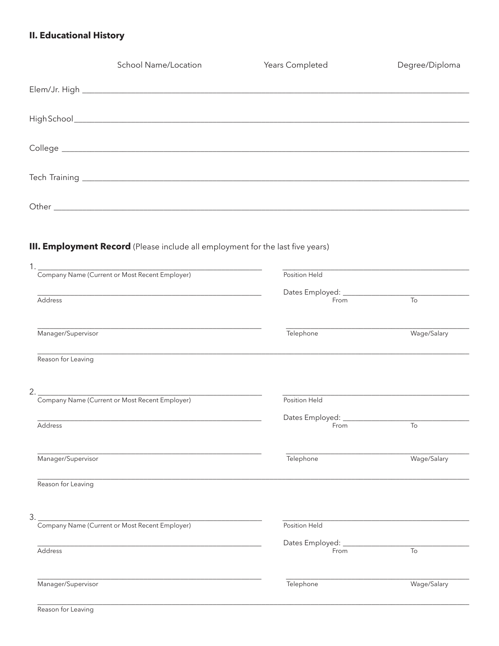# **II. Educational History**

|                    | <b>School Name/Location</b>                                                           | Years Completed                           | Degree/Diploma |
|--------------------|---------------------------------------------------------------------------------------|-------------------------------------------|----------------|
|                    |                                                                                       |                                           |                |
|                    |                                                                                       |                                           |                |
|                    |                                                                                       |                                           |                |
|                    |                                                                                       |                                           |                |
|                    |                                                                                       |                                           |                |
|                    |                                                                                       |                                           |                |
|                    | <b>III. Employment Record</b> (Please include all employment for the last five years) |                                           |                |
|                    | 1. Company Name (Current or Most Recent Employer)                                     | Position Held                             |                |
| Address            |                                                                                       | From                                      | $\overline{a}$ |
|                    |                                                                                       |                                           |                |
| Manager/Supervisor |                                                                                       | Telephone                                 | Wage/Salary    |
| Reason for Leaving |                                                                                       |                                           |                |
|                    | 2. Company Name (Current or Most Recent Employer)                                     |                                           |                |
|                    |                                                                                       | Position Held                             |                |
| Address            |                                                                                       | Dates Employed: _________________<br>From | To             |
| Manager/Supervisor |                                                                                       | Telephone                                 | Wage/Salary    |

Reason for Leaving

 $3.2$ 

Address

| Company Name (Current or Most Recent Employer) |  |  |
|------------------------------------------------|--|--|
|                                                |  |  |
|                                                |  |  |

<u> 1986 - Jan Barbara, masonal al-A</u>

| Position Held   |
|-----------------|
| Dates Employed: |
| From            |

| ທາ<br>r yr<br>c<br>c<br>с<br>г |  |
|--------------------------------|--|

 $\overline{\mathrm{To}}$ 

Manager/Supervisor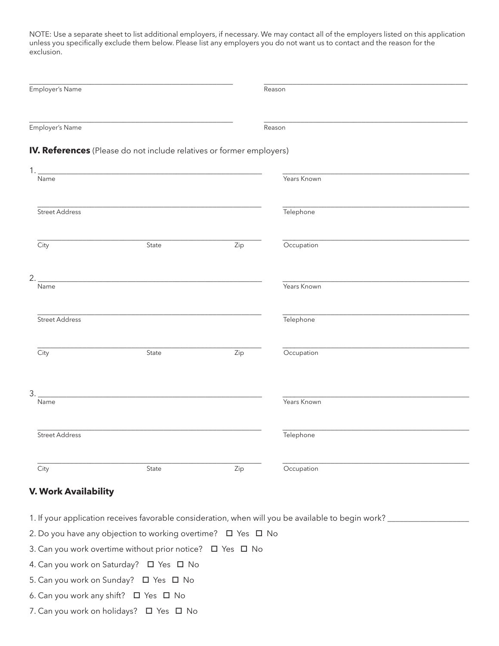NOTE: Use a separate sheet to list additional employers, if necessary. We may contact all of the employers listed on this application unless you specifically exclude them below. Please list any employers you do not want us to contact and the reason for the exclusion.

| Employer's Name |                                                                      |     | Reason      |  |  |
|-----------------|----------------------------------------------------------------------|-----|-------------|--|--|
| Employer's Name |                                                                      |     | Reason      |  |  |
|                 | IV. References (Please do not include relatives or former employers) |     |             |  |  |
| 1.<br>Name      |                                                                      |     | Years Known |  |  |
| Street Address  |                                                                      |     | Telephone   |  |  |
| City            | State                                                                | Zip | Occupation  |  |  |
| 2.<br>Name      |                                                                      |     | Years Known |  |  |
| Street Address  |                                                                      |     | Telephone   |  |  |
| City            | State                                                                | Zip | Occupation  |  |  |
| 3.<br>Name      |                                                                      |     | Years Known |  |  |
| Street Address  |                                                                      |     | Telephone   |  |  |
| City            | State                                                                | Zip | Occupation  |  |  |

### **V. Work Availability**

- 1. If your application receives favorable consideration, when will you be available to begin work? \_\_\_\_\_\_\_\_\_\_\_\_\_\_\_\_\_\_\_\_
- 2. Do you have any objection to working overtime?  $\Box$  Yes  $\Box$  No
- 3. Can you work overtime without prior notice?  $\Box$  Yes  $\Box$  No
- 4. Can you work on Saturday?  $\Box$  Yes  $\Box$  No
- 5. Can you work on Sunday?  $\Box$  Yes  $\Box$  No
- 6. Can you work any shift?  $\Box$  Yes  $\Box$  No
- 7. Can you work on holidays?  $\Box$  Yes  $\Box$  No